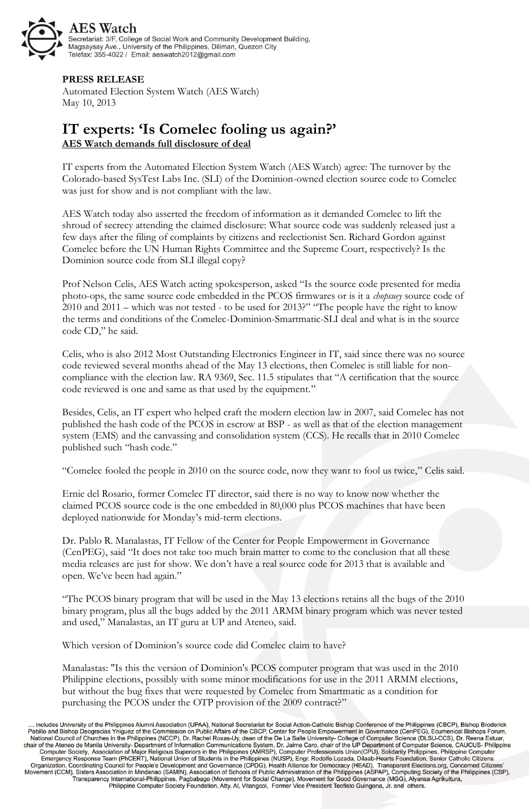

## **PRESS RELEASE**

Automated Election System Watch (AES Watch) May 10, 2013

## **IT experts: 'Is Comelec fooling us again?' AES Watch demands full disclosure of deal**

IT experts from the Automated Election System Watch (AES Watch) agree: The turnover by the Colorado-based SysTest Labs Inc. (SLI) of the Dominion-owned election source code to Comelec was just for show and is not compliant with the law.

AES Watch today also asserted the freedom of information as it demanded Comelec to lift the shroud of secrecy attending the claimed disclosure: What source code was suddenly released just a few days after the filing of complaints by citizens and reelectionist Sen. Richard Gordon against Comelec before the UN Human Rights Committee and the Supreme Court, respectively? Is the Dominion source code from SLI illegal copy?

Prof Nelson Celis, AES Watch acting spokesperson, asked "Is the source code presented for media photo-ops, the same source code embedded in the PCOS firmwares or is it a *chopsuey* source code of 2010 and 2011 – which was not tested - to be used for 2013?" "The people have the right to know the terms and conditions of the Comelec-Dominion-Smartmatic-SLI deal and what is in the source code CD," he said.

Celis, who is also 2012 Most Outstanding Electronics Engineer in IT, said since there was no source code reviewed several months ahead of the May 13 elections, then Comelec is still liable for noncompliance with the election law. RA 9369, Sec. 11.5 stipulates that "A certification that the source code reviewed is one and same as that used by the equipment."

Besides, Celis, an IT expert who helped craft the modern election law in 2007, said Comelec has not published the hash code of the PCOS in escrow at BSP - as well as that of the election management system (EMS) and the canvassing and consolidation system (CCS). He recalls that in 2010 Comelec published such "hash code."

"Comelec fooled the people in 2010 on the source code, now they want to fool us twice," Celis said.

Ernie del Rosario, former Comelec IT director, said there is no way to know now whether the claimed PCOS source code is the one embedded in 80,000 plus PCOS machines that have been deployed nationwide for Monday's mid-term elections.

Dr. Pablo R. Manalastas, IT Fellow of the Center for People Empowerment in Governance (CenPEG), said "It does not take too much brain matter to come to the conclusion that all these media releases are just for show. We don't have a real source code for 2013 that is available and open. We've been had again."

"The PCOS binary program that will be used in the May 13 elections retains all the bugs of the 2010 binary program, plus all the bugs added by the 2011 ARMM binary program which was never tested and used," Manalastas, an IT guru at UP and Ateneo, said.

Which version of Dominion's source code did Comelec claim to have?

Manalastas: "Is this the version of Dominion's PCOS computer program that was used in the 2010 Philippine elections, possibly with some minor modifications for use in the 2011 ARMM elections, but without the bug fixes that were requested by Comelec from Smartmatic as a condition for purchasing the PCOS under the OTP provision of the 2009 contract?"

… includes University of the Philippines Alumni Association (UPAA), National Secretariat for Social Action-Catholic Bishop Conference of the Philippines (CBCP), Bishop Broderick<br>Pabillo and Bishop Deogracias Yniguez of th Papilo and Bistiop Deogracials Yntighted of the Communission on Public Atlants of the CBCP, Center for People Empowerment in Governance (ClemPEC), ECOMBINGTIGHT NATION (National Council of Chuches in the Philippines (NCCP) Transparency International-Philippines, Pagbabago (Movement for Social Change), Movement for Good Governance (MGG), Alyansa Agrikultura,<br>Pransparency International-Philippines, Pagbabago (Movement for Social Change), Movem